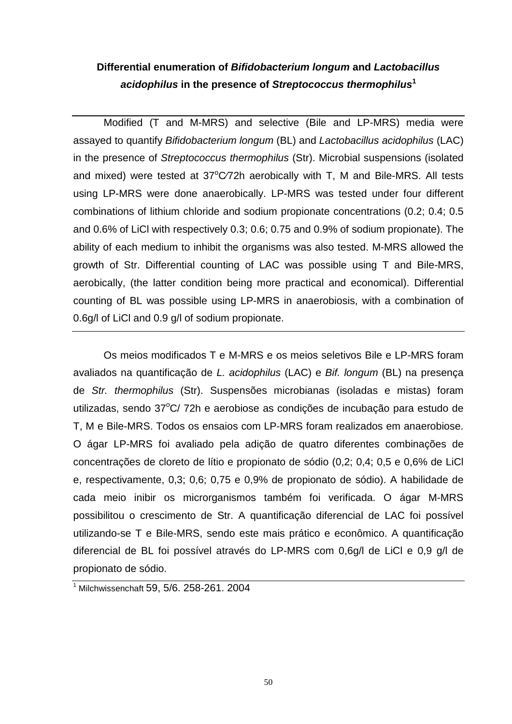# **Differential enumeration of Bifidobacterium longum and Lactobacillus acidophilus in the presence of Streptococcus thermophilus<sup>1</sup>**

Modified (T and M-MRS) and selective (Bile and LP-MRS) media were assayed to quantify Bifidobacterium longum (BL) and Lactobacillus acidophilus (LAC) in the presence of Streptococcus thermophilus (Str). Microbial suspensions (isolated and mixed) were tested at  $37^{\circ}$ C/72h aerobically with T, M and Bile-MRS. All tests using LP-MRS were done anaerobically. LP-MRS was tested under four different combinations of lithium chloride and sodium propionate concentrations (0.2; 0.4; 0.5 and 0.6% of LiCl with respectively 0.3; 0.6; 0.75 and 0.9% of sodium propionate). The ability of each medium to inhibit the organisms was also tested. M-MRS allowed the growth of Str. Differential counting of LAC was possible using T and Bile-MRS, aerobically, (the latter condition being more practical and economical). Differential counting of BL was possible using LP-MRS in anaerobiosis, with a combination of 0.6g/l of LiCl and 0.9 g/l of sodium propionate.

Os meios modificados T e M-MRS e os meios seletivos Bile e LP-MRS foram avaliados na quantificação de L. acidophilus (LAC) e Bif. longum (BL) na presença de Str. thermophilus (Str). Suspensões microbianas (isoladas e mistas) foram utilizadas, sendo  $37^{\circ}$ C/ 72h e aerobiose as condições de incubação para estudo de T, M e Bile-MRS. Todos os ensaios com LP-MRS foram realizados em anaerobiose. O ágar LP-MRS foi avaliado pela adição de quatro diferentes combinações de concentrações de cloreto de lítio e propionato de sódio (0,2; 0,4; 0,5 e 0,6% de LiCl e, respectivamente, 0,3; 0,6; 0,75 e 0,9% de propionato de sódio). A habilidade de cada meio inibir os microrganismos também foi verificada. O ágar M-MRS possibilitou o crescimento de Str. A quantificação diferencial de LAC foi possível utilizando-se T e Bile-MRS, sendo este mais prático e econômico. A quantificação diferencial de BL foi possível através do LP-MRS com 0,6g/l de LiCl e 0,9 g/l de propionato de sódio.

<sup>1</sup> Milchwissenchaft 59, 5/6. 258-261. 2004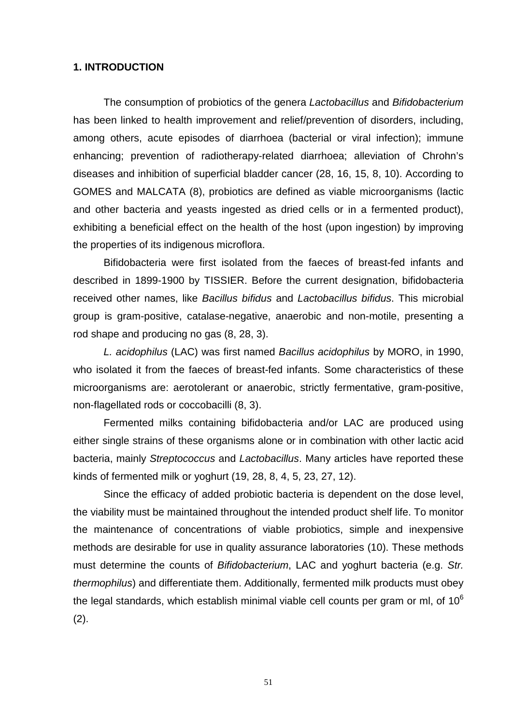#### **1. INTRODUCTION**

The consumption of probiotics of the genera Lactobacillus and Bifidobacterium has been linked to health improvement and relief/prevention of disorders, including, among others, acute episodes of diarrhoea (bacterial or viral infection); immune enhancing; prevention of radiotherapy-related diarrhoea; alleviation of Chrohn's diseases and inhibition of superficial bladder cancer (28, 16, 15, 8, 10). According to GOMES and MALCATA (8), probiotics are defined as viable microorganisms (lactic and other bacteria and yeasts ingested as dried cells or in a fermented product), exhibiting a beneficial effect on the health of the host (upon ingestion) by improving the properties of its indigenous microflora.

Bifidobacteria were first isolated from the faeces of breast-fed infants and described in 1899-1900 by TISSIER. Before the current designation, bifidobacteria received other names, like Bacillus bifidus and Lactobacillus bifidus. This microbial group is gram-positive, catalase-negative, anaerobic and non-motile, presenting a rod shape and producing no gas (8, 28, 3).

L. acidophilus (LAC) was first named Bacillus acidophilus by MORO, in 1990, who isolated it from the faeces of breast-fed infants. Some characteristics of these microorganisms are: aerotolerant or anaerobic, strictly fermentative, gram-positive, non-flagellated rods or coccobacilli (8, 3).

Fermented milks containing bifidobacteria and/or LAC are produced using either single strains of these organisms alone or in combination with other lactic acid bacteria, mainly Streptococcus and Lactobacillus. Many articles have reported these kinds of fermented milk or yoghurt (19, 28, 8, 4, 5, 23, 27, 12).

Since the efficacy of added probiotic bacteria is dependent on the dose level, the viability must be maintained throughout the intended product shelf life. To monitor the maintenance of concentrations of viable probiotics, simple and inexpensive methods are desirable for use in quality assurance laboratories (10). These methods must determine the counts of Bifidobacterium, LAC and yoghurt bacteria (e.g. Str. thermophilus) and differentiate them. Additionally, fermented milk products must obey the legal standards, which establish minimal viable cell counts per gram or ml, of  $10<sup>6</sup>$ (2).

51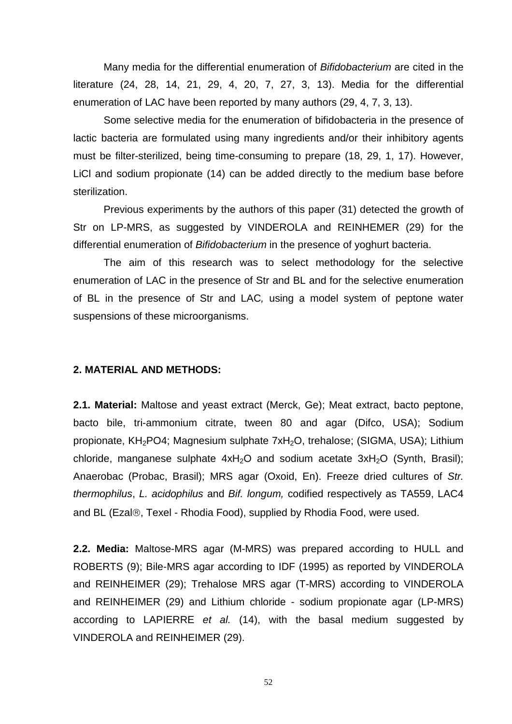Many media for the differential enumeration of Bifidobacterium are cited in the literature (24, 28, 14, 21, 29, 4, 20, 7, 27, 3, 13). Media for the differential enumeration of LAC have been reported by many authors (29, 4, 7, 3, 13).

Some selective media for the enumeration of bifidobacteria in the presence of lactic bacteria are formulated using many ingredients and/or their inhibitory agents must be filter-sterilized, being time-consuming to prepare (18, 29, 1, 17). However, LiCl and sodium propionate (14) can be added directly to the medium base before sterilization.

Previous experiments by the authors of this paper (31) detected the growth of Str on LP-MRS, as suggested by VINDEROLA and REINHEMER (29) for the differential enumeration of Bifidobacterium in the presence of yoghurt bacteria.

The aim of this research was to select methodology for the selective enumeration of LAC in the presence of Str and BL and for the selective enumeration of BL in the presence of Str and LAC, using a model system of peptone water suspensions of these microorganisms.

#### **2. MATERIAL AND METHODS:**

**2.1. Material:** Maltose and yeast extract (Merck, Ge); Meat extract, bacto peptone, bacto bile, tri-ammonium citrate, tween 80 and agar (Difco, USA); Sodium propionate, KH<sub>2</sub>PO4; Magnesium sulphate 7xH<sub>2</sub>O, trehalose; (SIGMA, USA); Lithium chloride, manganese sulphate  $4xH<sub>2</sub>O$  and sodium acetate  $3xH<sub>2</sub>O$  (Synth, Brasil); Anaerobac (Probac, Brasil); MRS agar (Oxoid, En). Freeze dried cultures of Str. thermophilus, L. acidophilus and Bif. longum, codified respectively as TA559, LAC4 and BL (Ezal®, Texel - Rhodia Food), supplied by Rhodia Food, were used.

**2.2. Media:** Maltose-MRS agar (M-MRS) was prepared according to HULL and ROBERTS (9); Bile-MRS agar according to IDF (1995) as reported by VINDEROLA and REINHEIMER (29); Trehalose MRS agar (T-MRS) according to VINDEROLA and REINHEIMER (29) and Lithium chloride - sodium propionate agar (LP-MRS) according to LAPIERRE et al. (14), with the basal medium suggested by VINDEROLA and REINHEIMER (29).

52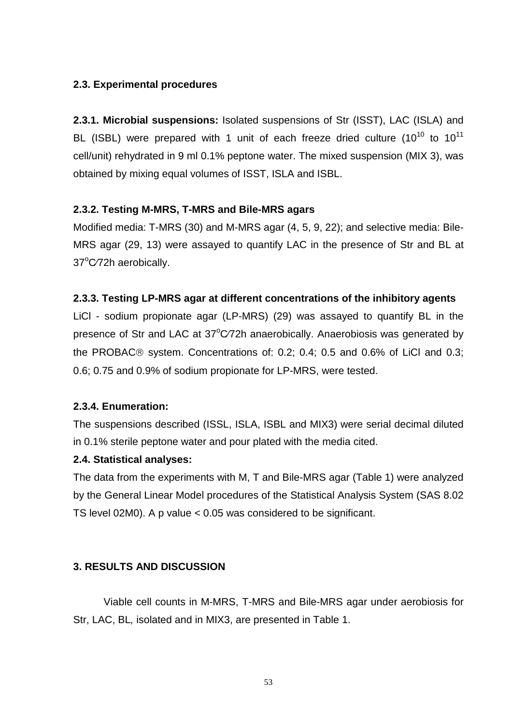# **2.3. Experimental procedures**

**2.3.1. Microbial suspensions:** Isolated suspensions of Str (ISST), LAC (ISLA) and BL (ISBL) were prepared with 1 unit of each freeze dried culture  $(10^{10}$  to  $10^{11}$ cell/unit) rehydrated in 9 ml 0.1% peptone water. The mixed suspension (MIX 3), was obtained by mixing equal volumes of ISST, ISLA and ISBL.

# **2.3.2. Testing M-MRS, T-MRS and Bile-MRS agars**

Modified media: T-MRS (30) and M-MRS agar (4, 5, 9, 22); and selective media: Bile-MRS agar (29, 13) were assayed to quantify LAC in the presence of Str and BL at 37°C/72h aerobically.

## **2.3.3. Testing LP-MRS agar at different concentrations of the inhibitory agents**

LiCl - sodium propionate agar (LP-MRS) (29) was assayed to quantify BL in the presence of Str and LAC at 37°C/72h anaerobically. Anaerobiosis was generated by the PROBAC $@$  system. Concentrations of: 0.2; 0.4; 0.5 and 0.6% of LiCl and 0.3; 0.6; 0.75 and 0.9% of sodium propionate for LP-MRS, were tested.

## **2.3.4. Enumeration:**

The suspensions described (ISSL, ISLA, ISBL and MIX3) were serial decimal diluted in 0.1% sterile peptone water and pour plated with the media cited.

## **2.4. Statistical analyses:**

The data from the experiments with M, T and Bile-MRS agar (Table 1) were analyzed by the General Linear Model procedures of the Statistical Analysis System (SAS 8.02 TS level 02M0). A p value < 0.05 was considered to be significant.

## **3. RESULTS AND DISCUSSION**

Viable cell counts in M-MRS, T-MRS and Bile-MRS agar under aerobiosis for Str, LAC, BL, isolated and in MIX3, are presented in Table 1.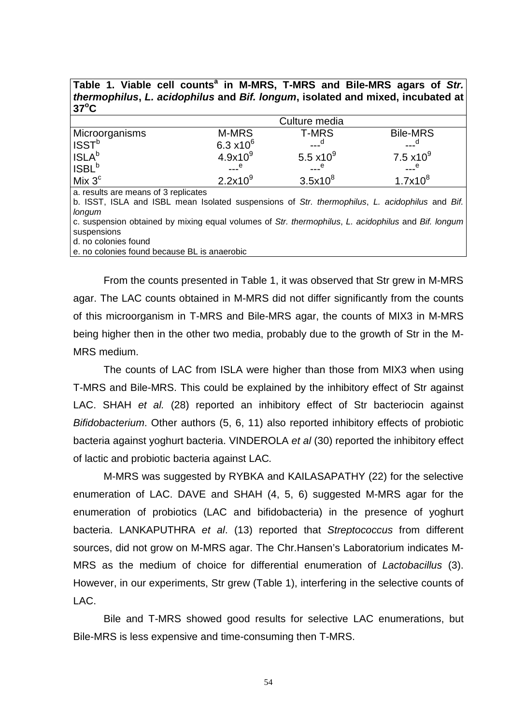| Table 1. Viable cell counts" in M-MRS, T-MRS and Bile-MRS agars of Str.<br>thermophilus, L. acidophilus and Bif. longum, isolated and mixed, incubated at<br>$37^{\circ}$ C |                           |              |                     |  |  |  |  |  |
|-----------------------------------------------------------------------------------------------------------------------------------------------------------------------------|---------------------------|--------------|---------------------|--|--|--|--|--|
|                                                                                                                                                                             | Culture media             |              |                     |  |  |  |  |  |
|                                                                                                                                                                             | M-MRS                     | <b>T-MRS</b> | <b>Bile-MRS</b>     |  |  |  |  |  |
| Microorganisms<br>ISST <sup>b</sup>                                                                                                                                         | 6.3 $x10^6$               | $---a$       | ___ <sup>a</sup>    |  |  |  |  |  |
| ISLA <sup>b</sup>                                                                                                                                                           | 4.9x10 <sup>9</sup>       | 5.5 $x10^9$  | $7.5 \times 10^{9}$ |  |  |  |  |  |
| ISBL <sup>b</sup>                                                                                                                                                           | $\overline{\phantom{a}1}$ | $---e$       | $---e$              |  |  |  |  |  |
| Mix $3c$                                                                                                                                                                    | 2.2x10 <sup>9</sup>       | $3.5x10^8$   | $1.7x10^8$          |  |  |  |  |  |
| a. results are means of 3 replicates                                                                                                                                        |                           |              |                     |  |  |  |  |  |

**Table 1. Viable cell counts<sup>a</sup> in M-MRS, T-MRS and Bile-MRS agars of Str.** 

b. ISST, ISLA and ISBL mean Isolated suspensions of Str. thermophilus, L. acidophilus and Bif. longum c. suspension obtained by mixing equal volumes of Str. thermophilus, L. acidophilus and Bif. longum suspensions

d. no colonies found

e. no colonies found because BL is anaerobic

From the counts presented in Table 1, it was observed that Str grew in M-MRS agar. The LAC counts obtained in M-MRS did not differ significantly from the counts of this microorganism in T-MRS and Bile-MRS agar, the counts of MIX3 in M-MRS being higher then in the other two media, probably due to the growth of Str in the M-MRS medium.

The counts of LAC from ISLA were higher than those from MIX3 when using T-MRS and Bile-MRS. This could be explained by the inhibitory effect of Str against LAC. SHAH et al. (28) reported an inhibitory effect of Str bacteriocin against Bifidobacterium. Other authors (5, 6, 11) also reported inhibitory effects of probiotic bacteria against yoghurt bacteria. VINDEROLA et al (30) reported the inhibitory effect of lactic and probiotic bacteria against LAC.

M-MRS was suggested by RYBKA and KAILASAPATHY (22) for the selective enumeration of LAC. DAVE and SHAH (4, 5, 6) suggested M-MRS agar for the enumeration of probiotics (LAC and bifidobacteria) in the presence of yoghurt bacteria. LANKAPUTHRA et al. (13) reported that Streptococcus from different sources, did not grow on M-MRS agar. The Chr.Hansen's Laboratorium indicates M-MRS as the medium of choice for differential enumeration of Lactobacillus (3). However, in our experiments, Str grew (Table 1), interfering in the selective counts of  $LAC$ .

Bile and T-MRS showed good results for selective LAC enumerations, but Bile-MRS is less expensive and time-consuming then T-MRS.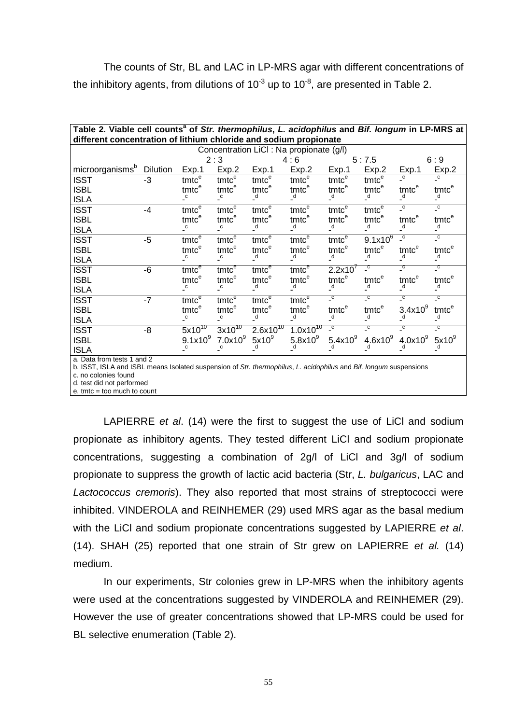The counts of Str, BL and LAC in LP-MRS agar with different concentrations of the inhibitory agents, from dilutions of  $10^{-3}$  up to  $10^{-8}$ , are presented in Table 2.

| Table 2. Viable cell counts <sup>a</sup> of Str. thermophilus, L. acidophilus and Bif. longum in LP-MRS at<br>different concentration of lithium chloride and sodium propionate |          |                                                            |                                                            |                                       |                                    |                                                            |                                  |                                  |                                  |  |  |  |
|---------------------------------------------------------------------------------------------------------------------------------------------------------------------------------|----------|------------------------------------------------------------|------------------------------------------------------------|---------------------------------------|------------------------------------|------------------------------------------------------------|----------------------------------|----------------------------------|----------------------------------|--|--|--|
| Concentration LiCI : Na propionate (g/l)                                                                                                                                        |          |                                                            |                                                            |                                       |                                    |                                                            |                                  |                                  |                                  |  |  |  |
|                                                                                                                                                                                 |          | 2:3                                                        |                                                            | 4:6                                   |                                    | 5:7.5                                                      |                                  | 6:9                              |                                  |  |  |  |
| microorganisms <sup>b</sup>                                                                                                                                                     | Dilution | Exp.1                                                      | Exp.2                                                      | Exp.1                                 | Exp.2                              | Exp.1                                                      | Exp.2                            | Exp.1                            | Exp.2                            |  |  |  |
| <b>ISST</b>                                                                                                                                                                     | $-3$     | $t$ mt $\overline{c^e}$                                    | tmtc <sup>e</sup>                                          | $t$ mt $\overline{c}^e$               | $t$ mtc $\overline{e}$             | $t$ mt $\overline{c}$ <sup><math>\overline{e}</math></sup> | $t$ mt $\overline{c}^e$          | $\overline{c}$                   | $\overline{c}$                   |  |  |  |
| <b>ISBL</b>                                                                                                                                                                     |          | tmtc <sup>e</sup>                                          | tmtc <sup>e</sup>                                          | tmtc <sup>e</sup>                     | $int_{d}^{e}$                      | tmtc <sup>e</sup>                                          | tmtc <sup>e</sup>                | $t$ mtc $e$                      | $t$ mtc $e$                      |  |  |  |
| <b>ISLA</b>                                                                                                                                                                     |          | $\mathsf{C}$                                               | $\mathsf{C}$                                               | $\overline{a}$                        |                                    | $\overline{a}$                                             | $\overline{d}$                   | $\overline{\phantom{a}}^d$       | $\overline{a}$                   |  |  |  |
| <b>ISST</b>                                                                                                                                                                     | $-4$     | $t$ mt $\overline{c}^e$                                    | $t$ mtc $\overline{c}$                                     | $t$ mt $\overline{c}$ <sup>e</sup>    | $t$ mt $\overline{c}$ <sup>e</sup> | $t$ mtc $\overline{e}$                                     | $t$ mtc $\overline{e}$           | $\overline{c}$                   | $\overline{c}$                   |  |  |  |
| <b>ISBL</b>                                                                                                                                                                     |          | tmtc <sup>e</sup>                                          | tmtc <sup>e</sup>                                          | tmtc <sup>e</sup>                     | tmtc <sup>e</sup>                  | tmtc <sup>e</sup>                                          | tmtc <sup>e</sup>                | tmtc <sup>e</sup>                | $t$ mtc $e$                      |  |  |  |
| <b>ISLA</b>                                                                                                                                                                     |          | $\mathsf{C}$                                               | $\mathsf{C}$                                               | $\overline{\phantom{a}}^d$            | $\overline{\phantom{a}}^d$         | $\overline{\phantom{a}}^d$                                 | $\overline{\phantom{a}}^d$       | $\overline{\phantom{a}}^d$       | $\overline{\phantom{a}}^d$       |  |  |  |
| <b>ISST</b>                                                                                                                                                                     | $-5$     | $t$ mt $\overline{c^e}$                                    | $t$ mt $\overline{c}$ <sup>e</sup>                         | $t$ mt $\overline{c^e}$               | $t$ mt $\overline{c^e}$            | $t$ mt $\overline{c^e}$                                    | $9.1x10^{6}$                     | $\overline{c}$                   | $\overline{\phantom{a}}^{\rm c}$ |  |  |  |
| <b>ISBL</b>                                                                                                                                                                     |          | tmtc <sup>e</sup>                                          | tmtc <sup>e</sup>                                          | tmtc <sup>e</sup>                     | tmtc <sup>e</sup>                  | tmtc <sup>e</sup>                                          | tmtc <sup>e</sup>                | $t$ mtc $e$                      | $t$ mtc $e$                      |  |  |  |
| <b>ISLA</b>                                                                                                                                                                     |          | $\mathsf{C}$                                               | $\mathsf{C}$                                               | $\overline{\phantom{a}}^d$            | $\overline{d}$                     | $\overline{\phantom{a}}^d$                                 | $\overline{\phantom{a}}^d$       | $\overline{\phantom{a}}^d$       | $\overline{d}$                   |  |  |  |
| <b>ISST</b>                                                                                                                                                                     | $-6$     | $t$ mt $\overline{c^e}$                                    | $t$ mt $\overline{c}$ <sup><math>\overline{e}</math></sup> | $t$ mt $\overline{c^e}$               | $t$ mtc $\overline{e}$             | 2.2x10'                                                    | $\overline{\phantom{a}}^{\rm c}$ | $\overline{\phantom{a}}^{\rm c}$ | $\overline{c}$                   |  |  |  |
| <b>ISBL</b>                                                                                                                                                                     |          | tmtc <sup>e</sup>                                          | tmtc <sup>e</sup>                                          | tmtc <sup>e</sup>                     | $int_{d}^{e}$                      | tmtc <sup>e</sup>                                          | $t$ mtc $e$                      | $t$ mtc $e$                      | $t$ mtc $e$                      |  |  |  |
| <b>ISLA</b>                                                                                                                                                                     |          | $\overline{\phantom{a}}^{\rm c}$                           | $\mathsf{C}$                                               | $\overline{d}$                        |                                    | $\overline{a}$                                             | $\overline{\phantom{a}}^d$       | $\overline{a}$                   | $\frac{d}{2}$                    |  |  |  |
| <b>ISST</b>                                                                                                                                                                     | $-7$     | $t$ mt $\overline{c}$ <sup><math>\overline{e}</math></sup> | $t$ mtc $\overline{c}$                                     | $t$ m $\overline{t}$ c $\overline{e}$ | $t$ mt $\overline{c}$ <sup>e</sup> | $\overline{c}$                                             | $\overline{c}$                   | $\overline{c}$                   | $\overline{c}$                   |  |  |  |
| <b>ISBL</b>                                                                                                                                                                     |          | tmtc <sup>e</sup>                                          | $t$ mtc $e$                                                | tmtc <sup>e</sup>                     | tmtc <sup>e</sup>                  | tmtc <sup>e</sup>                                          | $t$ mtc $e$                      | 3.4x10 <sup>9</sup>              | tmtce                            |  |  |  |
| <b>ISLA</b>                                                                                                                                                                     |          | $\mathsf{C}$                                               | $\mathsf{C}$                                               | $\overline{\phantom{a}}^d$            | $\overline{\phantom{a}}^d$         | $\overline{\phantom{a}}^d$                                 | $\overline{\phantom{a}}^d$       | _d                               | $\overline{\phantom{a}}^d$       |  |  |  |
| <b>ISST</b>                                                                                                                                                                     | $-8$     | $5x10^{10}$                                                | $3x10^{10}$                                                | $2.6x\overline{10^{10}}$              | $1.0x10^{10}$                      | $\overline{c}$                                             | $\overline{c}$                   | $\overline{c}$                   | $\overline{\phantom{a}}^{\rm c}$ |  |  |  |
| <b>ISBL</b>                                                                                                                                                                     |          | $9.1x10^{9}$                                               | 7.0x10 <sup>9</sup>                                        | $5x10^9$                              | 5.8x10 <sup>9</sup>                | $5.4x10^{9}$                                               | $4.6x10^{9}$                     | $4.0x10^9$                       | $5x10^9$                         |  |  |  |
| <b>ISLA</b>                                                                                                                                                                     |          | $\mathsf{C}$                                               | $\overline{\phantom{a}}^{\rm c}$                           | d                                     | _d                                 | $_d$                                                       | $\mathsf{d}$                     | $\mathsf{d}$                     | $\frac{a}{2}$                    |  |  |  |
| a. Data from tests 1 and 2                                                                                                                                                      |          |                                                            |                                                            |                                       |                                    |                                                            |                                  |                                  |                                  |  |  |  |
| b. ISST, ISLA and ISBL means Isolated suspension of Str. thermophilus, L. acidophilus and Bif. longum suspensions                                                               |          |                                                            |                                                            |                                       |                                    |                                                            |                                  |                                  |                                  |  |  |  |
| c. no colonies found                                                                                                                                                            |          |                                                            |                                                            |                                       |                                    |                                                            |                                  |                                  |                                  |  |  |  |

d. test did not performed

 $e.$  tmtc = too much to count

LAPIERRE et al. (14) were the first to suggest the use of LiCl and sodium propionate as inhibitory agents. They tested different LiCl and sodium propionate concentrations, suggesting a combination of 2g/l of LiCl and 3g/l of sodium propionate to suppress the growth of lactic acid bacteria (Str, L. bulgaricus, LAC and Lactococcus cremoris). They also reported that most strains of streptococci were inhibited. VINDEROLA and REINHEMER (29) used MRS agar as the basal medium with the LiCI and sodium propionate concentrations suggested by LAPIERRE et al. (14). SHAH (25) reported that one strain of Str grew on LAPIERRE et al. (14) medium.

In our experiments, Str colonies grew in LP-MRS when the inhibitory agents were used at the concentrations suggested by VINDEROLA and REINHEMER (29). However the use of greater concentrations showed that LP-MRS could be used for BL selective enumeration (Table 2).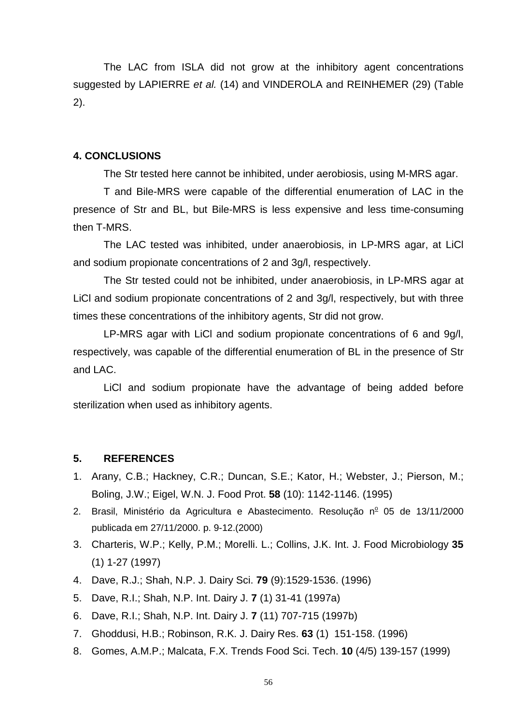The LAC from ISLA did not grow at the inhibitory agent concentrations suggested by LAPIERRE et al. (14) and VINDEROLA and REINHEMER (29) (Table 2).

#### **4. CONCLUSIONS**

The Str tested here cannot be inhibited, under aerobiosis, using M-MRS agar.

T and Bile-MRS were capable of the differential enumeration of LAC in the presence of Str and BL, but Bile-MRS is less expensive and less time-consuming then T-MRS.

The LAC tested was inhibited, under anaerobiosis, in LP-MRS agar, at LiCl and sodium propionate concentrations of 2 and 3g/l, respectively.

The Str tested could not be inhibited, under anaerobiosis, in LP-MRS agar at LiCl and sodium propionate concentrations of 2 and 3g/l, respectively, but with three times these concentrations of the inhibitory agents, Str did not grow.

LP-MRS agar with LiCl and sodium propionate concentrations of 6 and 9g/l, respectively, was capable of the differential enumeration of BL in the presence of Str and LAC.

LiCl and sodium propionate have the advantage of being added before sterilization when used as inhibitory agents.

# **5. REFERENCES**

- 1. Arany, C.B.; Hackney, C.R.; Duncan, S.E.; Kator, H.; Webster, J.; Pierson, M.; Boling, J.W.; Eigel, W.N. J. Food Prot. **58** (10): 1142-1146. (1995)
- 2. Brasil, Ministério da Agricultura e Abastecimento. Resolução nº 05 de 13/11/2000 publicada em 27/11/2000. p. 9-12.(2000)
- 3. Charteris, W.P.; Kelly, P.M.; Morelli. L.; Collins, J.K. Int. J. Food Microbiology **35** (1) 1-27 (1997)
- 4. Dave, R.J.; Shah, N.P. J. Dairy Sci. **79** (9):1529-1536. (1996)
- 5. Dave, R.I.; Shah, N.P. Int. Dairy J. **7** (1) 31-41 (1997a)
- 6. Dave, R.I.; Shah, N.P. Int. Dairy J. **7** (11) 707-715 (1997b)
- 7. Ghoddusi, H.B.; Robinson, R.K. J. Dairy Res. **63** (1) 151-158. (1996)
- 8. Gomes, A.M.P.; Malcata, F.X. Trends Food Sci. Tech. **10** (4/5) 139-157 (1999)